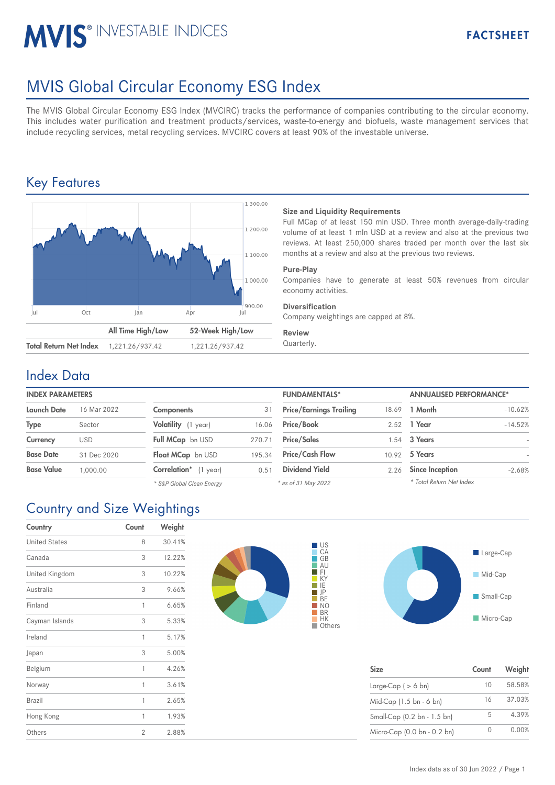# **MVIS® INVESTABLE INDICES**

## MVIS Global Circular Economy ESG Index

The MVIS Global Circular Economy ESG Index (MVCIRC) tracks the performance of companies contributing to the circular economy. This includes water purification and treatment products/services, waste-to-energy and biofuels, waste management services that include recycling services, metal recycling services. MVCIRC covers at least 90% of the investable universe.

## Key Features



#### **Size and Liquidity Requirements**

Full MCap of at least 150 mln USD. Three month average-daily-trading volume of at least 1 mln USD at a review and also at the previous two reviews. At least 250,000 shares traded per month over the last six months at a review and also at the previous two reviews.

#### **Pure-Play**

Companies have to generate at least 50% revenues from circular economy activities.

#### **Diversification**

Company weightings are capped at 8%.

#### **Review**

### Index Data

#### **INDEX PARAMETERS**

| <b>Launch Date</b> | 16 Mar 2022 | <b>Components</b>            | 31     | <b>Price/Earnings Trailing</b> |      | 18.69 1 Month          |
|--------------------|-------------|------------------------------|--------|--------------------------------|------|------------------------|
| <b>Type</b>        | Sector      | Volatility (1 year)          | 16.06  | <b>Price/Book</b>              |      | 2.52 1 Year            |
| Currency           | <b>USD</b>  | Full MCap bn USD             | 270.71 | <b>Price/Sales</b>             |      | 1.54 3 Years           |
| <b>Base Date</b>   | 31 Dec 2020 | Float MCap bn USD            | 195.34 | <b>Price/Cash Flow</b>         |      | 10.92 5 Years          |
| <b>Base Value</b>  | 1.000.00    | <b>Correlation*</b> (1 year) | 0.51   | <b>Dividend Yield</b>          | 2.26 | <b>Since Inception</b> |
|                    |             |                              |        |                                |      |                        |

| <b>Components</b>         | 31     |
|---------------------------|--------|
| Volatility (1 year)       | 16.06  |
| Full MCap bn USD          | 270.71 |
| <b>Float MCap</b> bn USD  | 195.34 |
| Correlation* (1 year)     | 0.51   |
| * S&P Global Clean Energy |        |

| <b>FUNDAMENTALS*</b>           |       | <b>ANNUALISED PERFORMANCE*</b> |           |  |
|--------------------------------|-------|--------------------------------|-----------|--|
| <b>Price/Earnings Trailing</b> | 18.69 | 1 Month                        | $-10.62%$ |  |
| Price/Book                     | 2.52  | 1 Year                         | $-14.52%$ |  |
| <b>Price/Sales</b>             | 1.54  | 3 Years                        |           |  |
| <b>Price/Cash Flow</b>         | 10.92 | 5 Years                        |           |  |
| <b>Dividend Yield</b>          | 2.26  | <b>Since Inception</b>         | $-2.68%$  |  |
| * as of 31 May 2022            |       | * Total Return Net Index       |           |  |

## Country and Size Weightings

| Country              | Count          | Weight |
|----------------------|----------------|--------|
| <b>United States</b> | 8              | 30.41% |
| Canada               | 3              | 12.22% |
| United Kingdom       | 3              | 10.22% |
| Australia            | 3              | 9.66%  |
| Finland              | 1              | 6.65%  |
| Cayman Islands       | 3              | 5.33%  |
| Ireland              | 1              | 5.17%  |
| Japan                | 3              | 5.00%  |
| Belgium              | 1              | 4.26%  |
| Norway               | 1              | 3.61%  |
| Brazil               | 1              | 2.65%  |
| Hong Kong            | 1              | 1.93%  |
| Others               | $\overline{2}$ | 2.88%  |





| <b>Size</b>                 | Count | Weight |
|-----------------------------|-------|--------|
| Large-Cap ( $> 6$ bn)       | 10    | 58.58% |
| Mid-Cap (1.5 bn - 6 bn)     | 16    | 37.03% |
| Small-Cap (0.2 bn - 1.5 bn) | 5     | 4.39%  |
| Micro-Cap (0.0 bn - 0.2 bn) |       | 0.00%  |